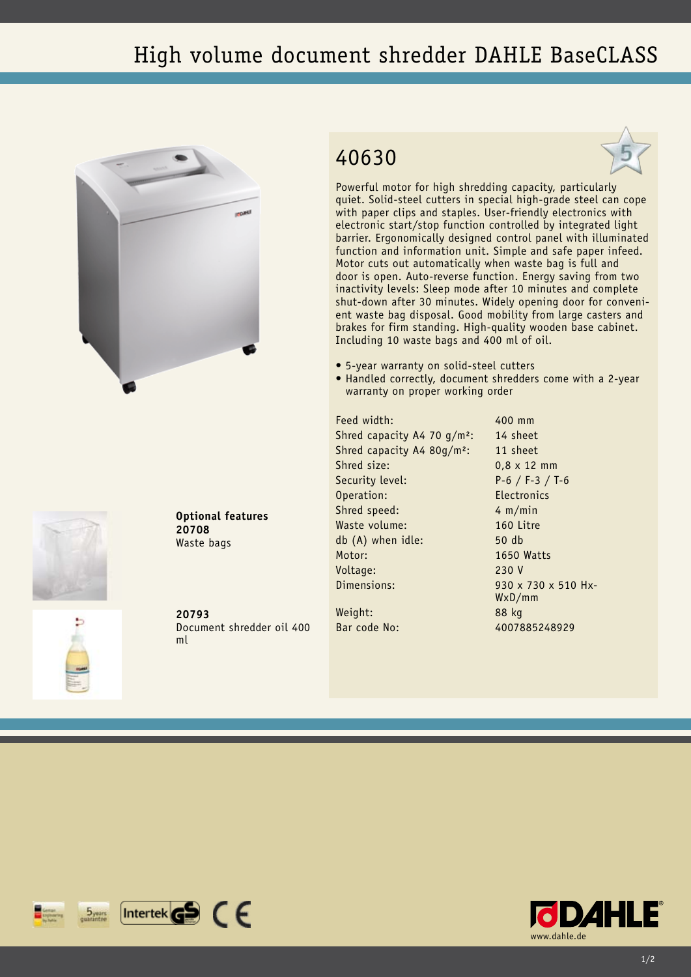## High volume document shredder DAHLE BaseCLASS





**Optional features 20708** Waste bags

**20793** Document shredder oil 400 ml

## 40630



Powerful motor for high shredding capacity, particularly quiet. Solid-steel cutters in special high-grade steel can cope with paper clips and staples. User-friendly electronics with electronic start/stop function controlled by integrated light barrier. Ergonomically designed control panel with illuminated function and information unit. Simple and safe paper infeed. Motor cuts out automatically when waste bag is full and door is open. Auto-reverse function. Energy saving from two inactivity levels: Sleep mode after 10 minutes and complete shut-down after 30 minutes. Widely opening door for convenient waste bag disposal. Good mobility from large casters and brakes for firm standing. High-quality wooden base cabinet. Including 10 waste bags and 400 ml of oil.

- • 5-year warranty on solid-steel cutters
- Handled correctly, document shredders come with a 2-year warranty on proper working order

Feed width: 400 mm Shred capacity A4 70  $q/m^2$ : 14 sheet Shred capacity A4 80g/m<sup>2</sup>: 11 sheet Shred size: 0.8 x 12 mm Security level: P-6 / F-3 / T-6 Operation: Electronics Shred speed: 4 m/min Waste volume: 160 Litre db (A) when idle: 50 db Motor: 1650 Watts Voltage: 230 V Dimensions: 930 x 730 x 510 Hx-

WxD/mm Weight: 88 kg Bar code No: 4007885248929